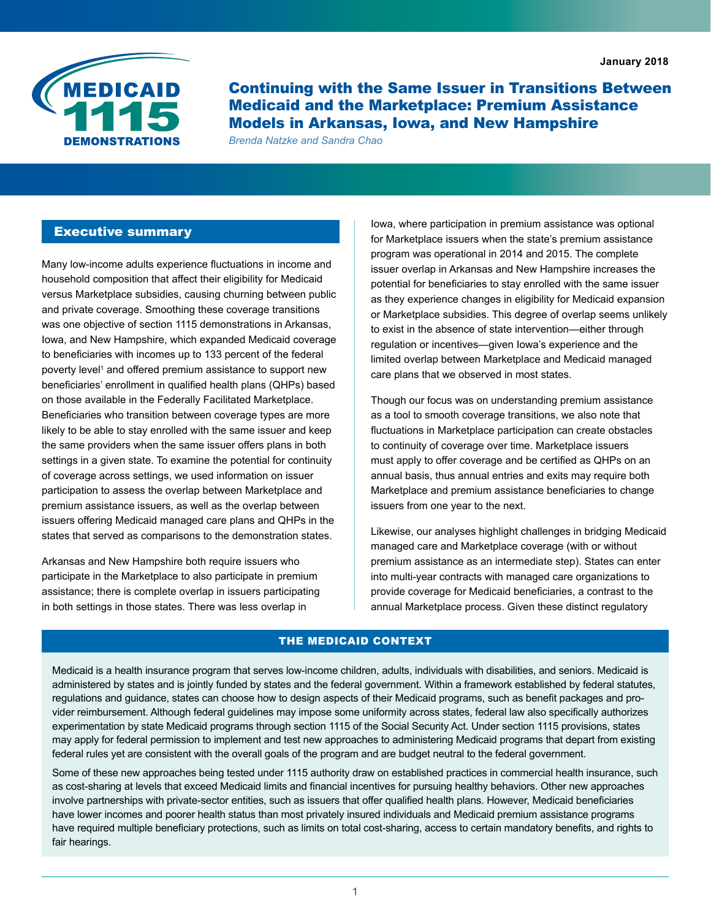

Continuing with the Same Issuer in Transitions Between Medicaid and the Marketplace: Premium Assistance Models in Arkansas, Iowa, and New Hampshire

*Brenda Natzke and Sandra Chao*

## Executive summary

Many low-income adults experience fluctuations in income and household composition that affect their eligibility for Medicaid versus Marketplace subsidies, causing churning between public and private coverage. Smoothing these coverage transitions was one objective of section 1115 demonstrations in Arkansas, Iowa, and New Hampshire, which expanded Medicaid coverage to beneficiaries with incomes up to 133 percent of the federal poverty level<sup>1</sup> and offered premium assistance to support new beneficiaries' enrollment in qualified health plans (QHPs) based on those available in the Federally Facilitated Marketplace. Beneficiaries who transition between coverage types are more likely to be able to stay enrolled with the same issuer and keep the same providers when the same issuer offers plans in both settings in a given state. To examine the potential for continuity of coverage across settings, we used information on issuer participation to assess the overlap between Marketplace and premium assistance issuers, as well as the overlap between issuers offering Medicaid managed care plans and QHPs in the states that served as comparisons to the demonstration states.

Arkansas and New Hampshire both require issuers who participate in the Marketplace to also participate in premium assistance; there is complete overlap in issuers participating in both settings in those states. There was less overlap in

Iowa, where participation in premium assistance was optional for Marketplace issuers when the state's premium assistance program was operational in 2014 and 2015. The complete issuer overlap in Arkansas and New Hampshire increases the potential for beneficiaries to stay enrolled with the same issuer as they experience changes in eligibility for Medicaid expansion or Marketplace subsidies. This degree of overlap seems unlikely to exist in the absence of state intervention—either through regulation or incentives—given Iowa's experience and the limited overlap between Marketplace and Medicaid managed care plans that we observed in most states.

Though our focus was on understanding premium assistance as a tool to smooth coverage transitions, we also note that fluctuations in Marketplace participation can create obstacles to continuity of coverage over time. Marketplace issuers must apply to offer coverage and be certified as QHPs on an annual basis, thus annual entries and exits may require both Marketplace and premium assistance beneficiaries to change issuers from one year to the next.

Likewise, our analyses highlight challenges in bridging Medicaid managed care and Marketplace coverage (with or without premium assistance as an intermediate step). States can enter into multi-year contracts with managed care organizations to provide coverage for Medicaid beneficiaries, a contrast to the annual Marketplace process. Given these distinct regulatory

#### THE MEDICAID CONTEXT

Medicaid is a health insurance program that serves low-income children, adults, individuals with disabilities, and seniors. Medicaid is administered by states and is jointly funded by states and the federal government. Within a framework established by federal statutes, regulations and guidance, states can choose how to design aspects of their Medicaid programs, such as benefit packages and provider reimbursement. Although federal guidelines may impose some uniformity across states, federal law also specifically authorizes experimentation by state Medicaid programs through section 1115 of the Social Security Act. Under section 1115 provisions, states may apply for federal permission to implement and test new approaches to administering Medicaid programs that depart from existing federal rules yet are consistent with the overall goals of the program and are budget neutral to the federal government.

Some of these new approaches being tested under 1115 authority draw on established practices in commercial health insurance, such as cost-sharing at levels that exceed Medicaid limits and financial incentives for pursuing healthy behaviors. Other new approaches involve partnerships with private-sector entities, such as issuers that offer qualified health plans. However, Medicaid beneficiaries have lower incomes and poorer health status than most privately insured individuals and Medicaid premium assistance programs have required multiple beneficiary protections, such as limits on total cost-sharing, access to certain mandatory benefits, and rights to fair hearings.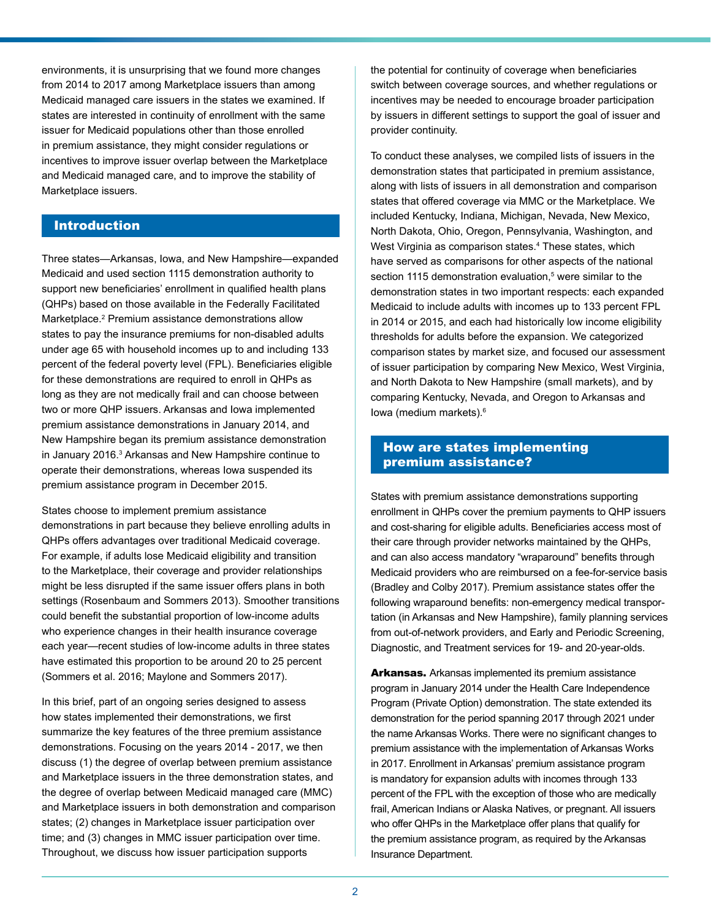environments, it is unsurprising that we found more changes from 2014 to 2017 among Marketplace issuers than among Medicaid managed care issuers in the states we examined. If states are interested in continuity of enrollment with the same issuer for Medicaid populations other than those enrolled in premium assistance, they might consider regulations or incentives to improve issuer overlap between the Marketplace and Medicaid managed care, and to improve the stability of Marketplace issuers.

### Introduction

Three states—Arkansas, Iowa, and New Hampshire—expanded Medicaid and used section 1115 demonstration authority to support new beneficiaries' enrollment in qualified health plans (QHPs) based on those available in the Federally Facilitated Marketplace.2 Premium assistance demonstrations allow states to pay the insurance premiums for non-disabled adults under age 65 with household incomes up to and including 133 percent of the federal poverty level (FPL). Beneficiaries eligible for these demonstrations are required to enroll in QHPs as long as they are not medically frail and can choose between two or more QHP issuers. Arkansas and Iowa implemented premium assistance demonstrations in January 2014, and New Hampshire began its premium assistance demonstration in January 2016.<sup>3</sup> Arkansas and New Hampshire continue to operate their demonstrations, whereas Iowa suspended its premium assistance program in December 2015.

States choose to implement premium assistance demonstrations in part because they believe enrolling adults in QHPs offers advantages over traditional Medicaid coverage. For example, if adults lose Medicaid eligibility and transition to the Marketplace, their coverage and provider relationships might be less disrupted if the same issuer offers plans in both settings (Rosenbaum and Sommers 2013). Smoother transitions could benefit the substantial proportion of low-income adults who experience changes in their health insurance coverage each year—recent studies of low-income adults in three states have estimated this proportion to be around 20 to 25 percent (Sommers et al. 2016; Maylone and Sommers 2017).

In this brief, part of an ongoing series designed to assess how states implemented their demonstrations, we first summarize the key features of the three premium assistance demonstrations. Focusing on the years 2014 - 2017, we then discuss (1) the degree of overlap between premium assistance and Marketplace issuers in the three demonstration states, and the degree of overlap between Medicaid managed care (MMC) and Marketplace issuers in both demonstration and comparison states; (2) changes in Marketplace issuer participation over time; and (3) changes in MMC issuer participation over time. Throughout, we discuss how issuer participation supports

the potential for continuity of coverage when beneficiaries switch between coverage sources, and whether regulations or incentives may be needed to encourage broader participation by issuers in different settings to support the goal of issuer and provider continuity.

To conduct these analyses, we compiled lists of issuers in the demonstration states that participated in premium assistance, along with lists of issuers in all demonstration and comparison states that offered coverage via MMC or the Marketplace. We included Kentucky, Indiana, Michigan, Nevada, New Mexico, North Dakota, Ohio, Oregon, Pennsylvania, Washington, and West Virginia as comparison states.<sup>4</sup> These states, which have served as comparisons for other aspects of the national section 1115 demonstration evaluation,<sup>5</sup> were similar to the demonstration states in two important respects: each expanded Medicaid to include adults with incomes up to 133 percent FPL in 2014 or 2015, and each had historically low income eligibility thresholds for adults before the expansion. We categorized comparison states by market size, and focused our assessment of issuer participation by comparing New Mexico, West Virginia, and North Dakota to New Hampshire (small markets), and by comparing Kentucky, Nevada, and Oregon to Arkansas and Iowa (medium markets).6

## How are states implementing premium assistance?

States with premium assistance demonstrations supporting enrollment in QHPs cover the premium payments to QHP issuers and cost-sharing for eligible adults. Beneficiaries access most of their care through provider networks maintained by the QHPs, and can also access mandatory "wraparound" benefits through Medicaid providers who are reimbursed on a fee-for-service basis (Bradley and Colby 2017). Premium assistance states offer the following wraparound benefits: non-emergency medical transportation (in Arkansas and New Hampshire), family planning services from out-of-network providers, and Early and Periodic Screening, Diagnostic, and Treatment services for 19- and 20-year-olds.

Arkansas. Arkansas implemented its premium assistance program in January 2014 under the Health Care Independence Program (Private Option) demonstration. The state extended its demonstration for the period spanning 2017 through 2021 under the name Arkansas Works. There were no significant changes to premium assistance with the implementation of Arkansas Works in 2017. Enrollment in Arkansas' premium assistance program is mandatory for expansion adults with incomes through 133 percent of the FPL with the exception of those who are medically frail, American Indians or Alaska Natives, or pregnant. All issuers who offer QHPs in the Marketplace offer plans that qualify for the premium assistance program, as required by the Arkansas Insurance Department.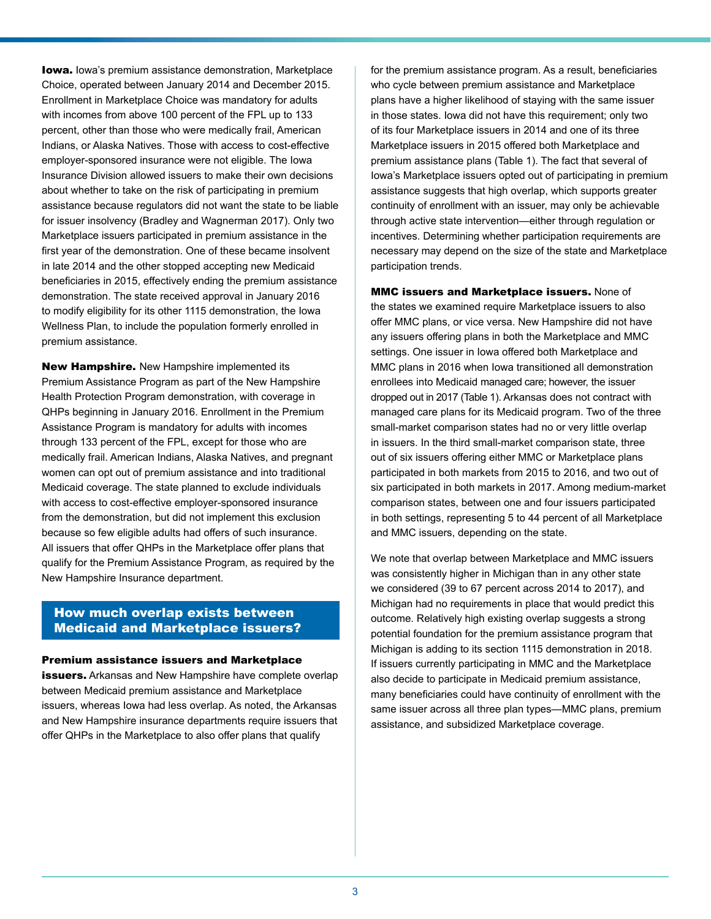**Iowa.** Iowa's premium assistance demonstration, Marketplace Choice, operated between January 2014 and December 2015. Enrollment in Marketplace Choice was mandatory for adults with incomes from above 100 percent of the FPL up to 133 percent, other than those who were medically frail, American Indians, or Alaska Natives. Those with access to cost-effective employer-sponsored insurance were not eligible. The Iowa Insurance Division allowed issuers to make their own decisions about whether to take on the risk of participating in premium assistance because regulators did not want the state to be liable for issuer insolvency (Bradley and Wagnerman 2017). Only two Marketplace issuers participated in premium assistance in the first year of the demonstration. One of these became insolvent in late 2014 and the other stopped accepting new Medicaid beneficiaries in 2015, effectively ending the premium assistance demonstration. The state received approval in January 2016 to modify eligibility for its other 1115 demonstration, the Iowa Wellness Plan, to include the population formerly enrolled in premium assistance.

New Hampshire. New Hampshire implemented its Premium Assistance Program as part of the New Hampshire Health Protection Program demonstration, with coverage in QHPs beginning in January 2016. Enrollment in the Premium Assistance Program is mandatory for adults with incomes through 133 percent of the FPL, except for those who are medically frail. American Indians, Alaska Natives, and pregnant women can opt out of premium assistance and into traditional Medicaid coverage. The state planned to exclude individuals with access to cost-effective employer-sponsored insurance from the demonstration, but did not implement this exclusion because so few eligible adults had offers of such insurance. All issuers that offer QHPs in the Marketplace offer plans that qualify for the Premium Assistance Program, as required by the New Hampshire Insurance department.

## How much overlap exists between Medicaid and Marketplace issuers?

#### Premium assistance issuers and Marketplace

issuers. Arkansas and New Hampshire have complete overlap between Medicaid premium assistance and Marketplace issuers, whereas Iowa had less overlap. As noted, the Arkansas and New Hampshire insurance departments require issuers that offer QHPs in the Marketplace to also offer plans that qualify

for the premium assistance program. As a result, beneficiaries who cycle between premium assistance and Marketplace plans have a higher likelihood of staying with the same issuer in those states. Iowa did not have this requirement; only two of its four Marketplace issuers in 2014 and one of its three Marketplace issuers in 2015 offered both Marketplace and premium assistance plans (Table 1). The fact that several of Iowa's Marketplace issuers opted out of participating in premium assistance suggests that high overlap, which supports greater continuity of enrollment with an issuer, may only be achievable through active state intervention—either through regulation or incentives. Determining whether participation requirements are necessary may depend on the size of the state and Marketplace participation trends.

MMC issuers and Marketplace issuers. None of the states we examined require Marketplace issuers to also offer MMC plans, or vice versa. New Hampshire did not have any issuers offering plans in both the Marketplace and MMC settings. One issuer in Iowa offered both Marketplace and MMC plans in 2016 when Iowa transitioned all demonstration enrollees into Medicaid managed care; however, the issuer dropped out in 2017 (Table 1). Arkansas does not contract with managed care plans for its Medicaid program. Two of the three small-market comparison states had no or very little overlap in issuers. In the third small-market comparison state, three out of six issuers offering either MMC or Marketplace plans participated in both markets from 2015 to 2016, and two out of six participated in both markets in 2017. Among medium-market comparison states, between one and four issuers participated in both settings, representing 5 to 44 percent of all Marketplace and MMC issuers, depending on the state.

We note that overlap between Marketplace and MMC issuers was consistently higher in Michigan than in any other state we considered (39 to 67 percent across 2014 to 2017), and Michigan had no requirements in place that would predict this outcome. Relatively high existing overlap suggests a strong potential foundation for the premium assistance program that Michigan is adding to its section 1115 demonstration in 2018. If issuers currently participating in MMC and the Marketplace also decide to participate in Medicaid premium assistance, many beneficiaries could have continuity of enrollment with the same issuer across all three plan types—MMC plans, premium assistance, and subsidized Marketplace coverage.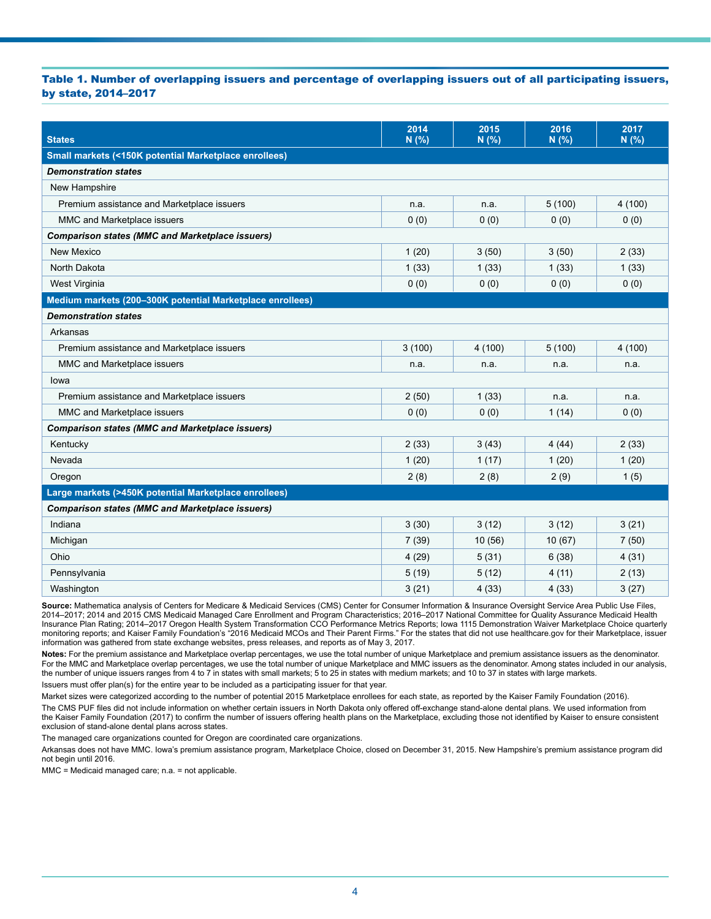#### Table 1. Number of overlapping issuers and percentage of overlapping issuers out of all participating issuers, by state, 2014–2017

| <b>States</b>                                             | 2014<br>N (%) | 2015<br>N (%) | 2016<br>N(% ) | 2017<br>N(% ) |
|-----------------------------------------------------------|---------------|---------------|---------------|---------------|
| Small markets (<150K potential Marketplace enrollees)     |               |               |               |               |
| <b>Demonstration states</b>                               |               |               |               |               |
| New Hampshire                                             |               |               |               |               |
| Premium assistance and Marketplace issuers                | n.a.          | n.a.          | 5(100)        | 4(100)        |
| MMC and Marketplace issuers                               | 0(0)          | 0(0)          | 0(0)          | 0(0)          |
| <b>Comparison states (MMC and Marketplace issuers)</b>    |               |               |               |               |
| New Mexico                                                | 1(20)         | 3(50)         | 3(50)         | 2(33)         |
| North Dakota                                              | 1(33)         | 1(33)         | 1(33)         | 1(33)         |
| West Virginia                                             | 0(0)          | 0(0)          | 0(0)          | 0(0)          |
| Medium markets (200-300K potential Marketplace enrollees) |               |               |               |               |
| <b>Demonstration states</b>                               |               |               |               |               |
| Arkansas                                                  |               |               |               |               |
| Premium assistance and Marketplace issuers                | 3(100)        | 4(100)        | 5(100)        | 4(100)        |
| MMC and Marketplace issuers                               | n.a.          | n.a.          | n.a.          | n.a.          |
| lowa                                                      |               |               |               |               |
| Premium assistance and Marketplace issuers                | 2(50)         | 1(33)         | n.a.          | n.a.          |
| MMC and Marketplace issuers                               | 0(0)          | 0(0)          | 1(14)         | 0(0)          |
| <b>Comparison states (MMC and Marketplace issuers)</b>    |               |               |               |               |
| Kentucky                                                  | 2(33)         | 3(43)         | 4(44)         | 2(33)         |
| Nevada                                                    | 1(20)         | 1(17)         | 1(20)         | 1(20)         |
| Oregon                                                    | 2(8)          | 2(8)          | 2(9)          | 1(5)          |
| Large markets (>450K potential Marketplace enrollees)     |               |               |               |               |
| <b>Comparison states (MMC and Marketplace issuers)</b>    |               |               |               |               |
| Indiana                                                   | 3(30)         | 3(12)         | 3(12)         | 3(21)         |
| Michigan                                                  | 7(39)         | 10(56)        | 10(67)        | 7(50)         |
| Ohio                                                      | 4(29)         | 5(31)         | 6(38)         | 4(31)         |
| Pennsylvania                                              | 5(19)         | 5(12)         | 4(11)         | 2(13)         |
| Washington                                                | 3(21)         | 4(33)         | 4(33)         | 3(27)         |

Source: Mathematica analysis of Centers for Medicare & Medicaid Services (CMS) Center for Consumer Information & Insurance Oversight Service Area Public Use Files, 2014–2017; 2014 and 2015 CMS Medicaid Managed Care Enrollment and Program Characteristics; 2016–2017 National Committee for Quality Assurance Medicaid Health Insurance Plan Rating; 2014–2017 Oregon Health System Transformation CCO Performance Metrics Reports; Iowa 1115 Demonstration Waiver Marketplace Choice quarterly monitoring reports; and Kaiser Family Foundation's "2016 Medicaid MCOs and Their Parent Firms." For the states that did not use healthcare.gov for their Marketplace, issuer information was gathered from state exchange websites, press releases, and reports as of May 3, 2017.

**Notes:** For the premium assistance and Marketplace overlap percentages, we use the total number of unique Marketplace and premium assistance issuers as the denominator. For the MMC and Marketplace overlap percentages, we use the total number of unique Marketplace and MMC issuers as the denominator. Among states included in our analysis, the number of unique issuers ranges from 4 to 7 in states with small markets; 5 to 25 in states with medium markets; and 10 to 37 in states with large markets. Issuers must offer plan(s) for the entire year to be included as a participating issuer for that year.

Market sizes were categorized according to the number of potential 2015 Marketplace enrollees for each state, as reported by the Kaiser Family Foundation (2016).

The CMS PUF files did not include information on whether certain issuers in North Dakota only offered off-exchange stand-alone dental plans. We used information from the Kaiser Family Foundation (2017) to confirm the number of issuers offering health plans on the Marketplace, excluding those not identified by Kaiser to ensure consistent exclusion of stand-alone dental plans across states.

The managed care organizations counted for Oregon are coordinated care organizations.

Arkansas does not have MMC. Iowa's premium assistance program, Marketplace Choice, closed on December 31, 2015. New Hampshire's premium assistance program did not begin until 2016.

MMC = Medicaid managed care; n.a. = not applicable.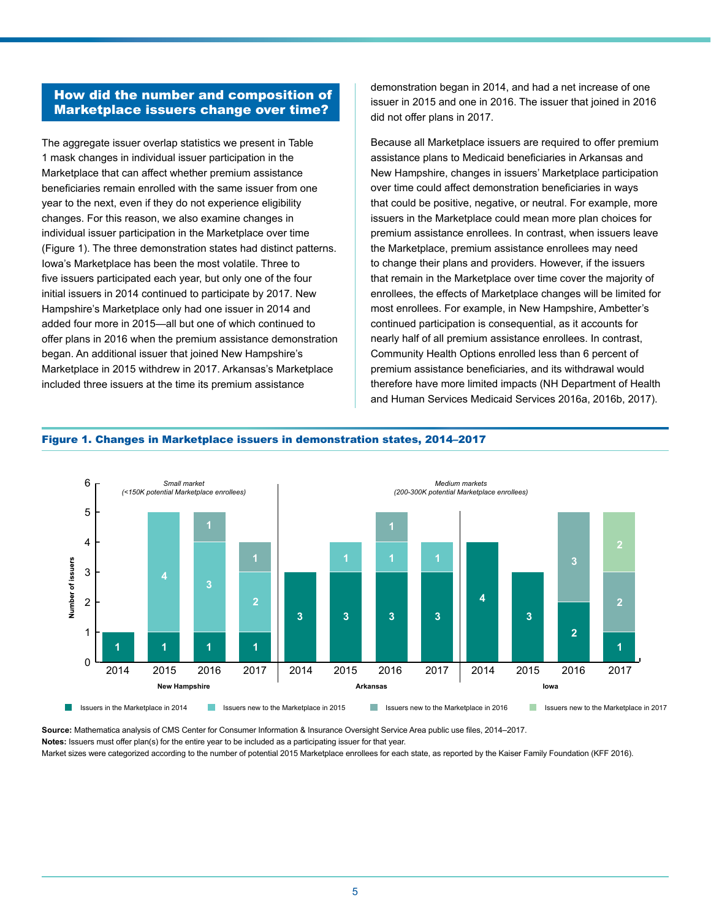## How did the number and composition of Marketplace issuers change over time?

The aggregate issuer overlap statistics we present in Table 1 mask changes in individual issuer participation in the Marketplace that can affect whether premium assistance beneficiaries remain enrolled with the same issuer from one year to the next, even if they do not experience eligibility changes. For this reason, we also examine changes in individual issuer participation in the Marketplace over time (Figure 1). The three demonstration states had distinct patterns. Iowa's Marketplace has been the most volatile. Three to five issuers participated each year, but only one of the four initial issuers in 2014 continued to participate by 2017. New Hampshire's Marketplace only had one issuer in 2014 and added four more in 2015—all but one of which continued to offer plans in 2016 when the premium assistance demonstration began. An additional issuer that joined New Hampshire's Marketplace in 2015 withdrew in 2017. Arkansas's Marketplace included three issuers at the time its premium assistance

demonstration began in 2014, and had a net increase of one issuer in 2015 and one in 2016. The issuer that joined in 2016 did not offer plans in 2017.

Because all Marketplace issuers are required to offer premium assistance plans to Medicaid beneficiaries in Arkansas and New Hampshire, changes in issuers' Marketplace participation over time could affect demonstration beneficiaries in ways that could be positive, negative, or neutral. For example, more issuers in the Marketplace could mean more plan choices for premium assistance enrollees. In contrast, when issuers leave the Marketplace, premium assistance enrollees may need to change their plans and providers. However, if the issuers that remain in the Marketplace over time cover the majority of enrollees, the effects of Marketplace changes will be limited for most enrollees. For example, in New Hampshire, Ambetter's continued participation is consequential, as it accounts for nearly half of all premium assistance enrollees. In contrast, Community Health Options enrolled less than 6 percent of premium assistance beneficiaries, and its withdrawal would therefore have more limited impacts (NH Department of Health and Human Services Medicaid Services 2016a, 2016b, 2017).



#### Figure 1. Changes in Marketplace issuers in demonstration states, 2014–2017

**Source:** Mathematica analysis of CMS Center for Consumer Information & Insurance Oversight Service Area public use files, 2014–2017.

**Notes:** Issuers must offer plan(s) for the entire year to be included as a participating issuer for that year.

Market sizes were categorized according to the number of potential 2015 Marketplace enrollees for each state, as reported by the Kaiser Family Foundation (KFF 2016).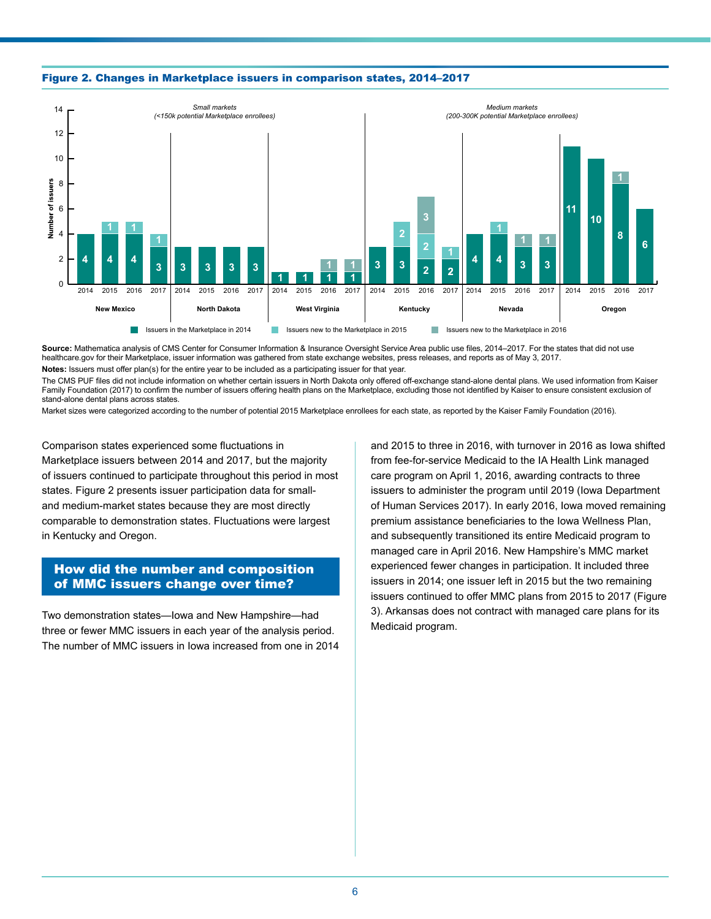



**Source:** Mathematica analysis of CMS Center for Consumer Information & Insurance Oversight Service Area public use files, 2014–2017. For the states that did not use healthcare.gov for their Marketplace, issuer information was gathered from state exchange websites, press releases, and reports as of May 3, 2017. **Notes:** Issuers must offer plan(s) for the entire year to be included as a participating issuer for that year.

The CMS PUF files did not include information on whether certain issuers in North Dakota only offered off-exchange stand-alone dental plans. We used information from Kaiser Family Foundation (2017) to confirm the number of issuers offering health plans on the Marketplace, excluding those not identified by Kaiser to ensure consistent exclusion of stand-alone dental plans across states.

Market sizes were categorized according to the number of potential 2015 Marketplace enrollees for each state, as reported by the Kaiser Family Foundation (2016).

Comparison states experienced some fluctuations in Marketplace issuers between 2014 and 2017, but the majority of issuers continued to participate throughout this period in most states. Figure 2 presents issuer participation data for smalland medium-market states because they are most directly comparable to demonstration states. Fluctuations were largest in Kentucky and Oregon.

## How did the number and composition of MMC issuers change over time?

Two demonstration states—Iowa and New Hampshire—had three or fewer MMC issuers in each year of the analysis period. The number of MMC issuers in Iowa increased from one in 2014 and 2015 to three in 2016, with turnover in 2016 as Iowa shifted from fee-for-service Medicaid to the IA Health Link managed care program on April 1, 2016, awarding contracts to three issuers to administer the program until 2019 (Iowa Department of Human Services 2017). In early 2016, Iowa moved remaining premium assistance beneficiaries to the Iowa Wellness Plan, and subsequently transitioned its entire Medicaid program to managed care in April 2016. New Hampshire's MMC market experienced fewer changes in participation. It included three issuers in 2014; one issuer left in 2015 but the two remaining issuers continued to offer MMC plans from 2015 to 2017 (Figure 3). Arkansas does not contract with managed care plans for its Medicaid program.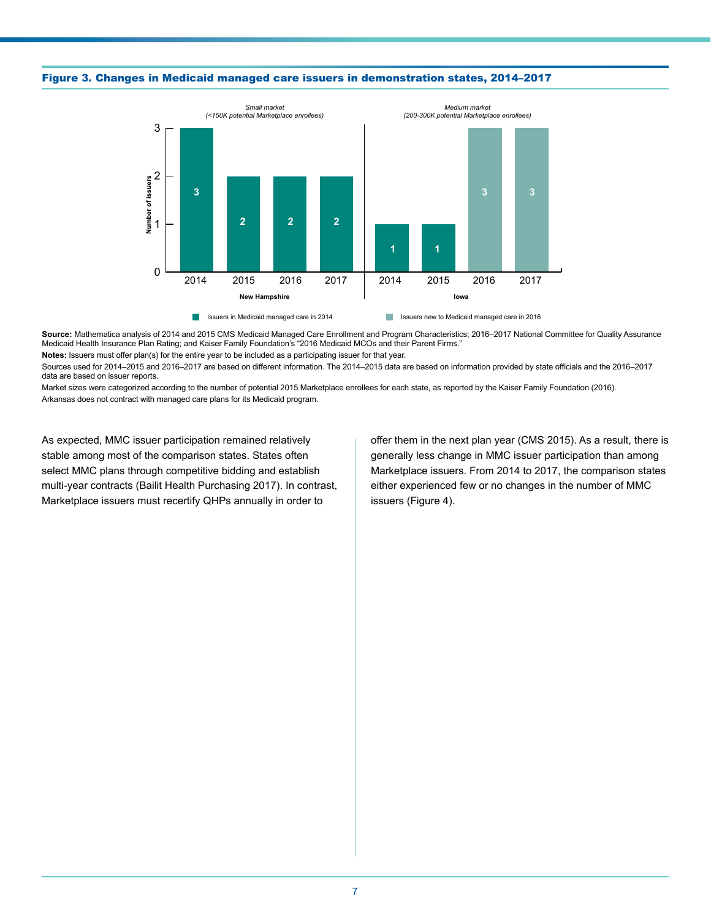

#### Figure 3. Changes in Medicaid managed care issuers in demonstration states, 2014–2017

Source: Mathematica analysis of 2014 and 2015 CMS Medicaid Managed Care Enrollment and Program Characteristics; 2016–2017 National Committee for Quality Assurance Medicaid Health Insurance Plan Rating; and Kaiser Family Foundation's "2016 Medicaid MCOs and their Parent Firms."

**Notes:** Issuers must offer plan(s) for the entire year to be included as a participating issuer for that year.

Sources used for 2014–2015 and 2016–2017 are based on different information. The 2014–2015 data are based on information provided by state officials and the 2016–2017 data are based on issuer reports.

Market sizes were categorized according to the number of potential 2015 Marketplace enrollees for each state, as reported by the Kaiser Family Foundation (2016). Arkansas does not contract with managed care plans for its Medicaid program.

As expected, MMC issuer participation remained relatively stable among most of the comparison states. States often select MMC plans through competitive bidding and establish multi-year contracts (Bailit Health Purchasing 2017). In contrast, Marketplace issuers must recertify QHPs annually in order to

offer them in the next plan year (CMS 2015). As a result, there is generally less change in MMC issuer participation than among Marketplace issuers. From 2014 to 2017, the comparison states either experienced few or no changes in the number of MMC issuers (Figure 4).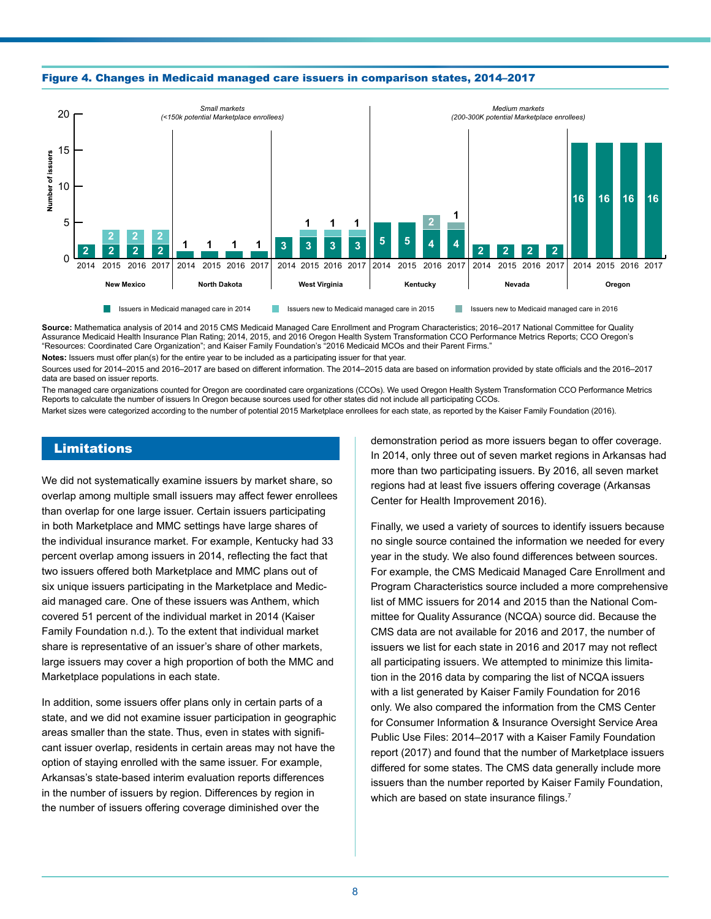



**Source:** Mathematica analysis of 2014 and 2015 CMS Medicaid Managed Care Enrollment and Program Characteristics; 2016–2017 National Committee for Quality Assurance Medicaid Health Insurance Plan Rating; 2014, 2015, and 2016 Oregon Health System Transformation CCO Performance Metrics Reports; CCO Oregon's "Resources: Coordinated Care Organization"; and Kaiser Family Foundation's "2016 Medicaid MCOs and their Parent Firms."

**Notes:** Issuers must offer plan(s) for the entire year to be included as a participating issuer for that year.

Sources used for 2014–2015 and 2016–2017 are based on different information. The 2014–2015 data are based on information provided by state officials and the 2016–2017 data are based on issuer reports.

The managed care organizations counted for Oregon are coordinated care organizations (CCOs). We used Oregon Health System Transformation CCO Performance Metrics Reports to calculate the number of issuers In Oregon because sources used for other states did not include all participating CCOs. Market sizes were categorized according to the number of potential 2015 Marketplace enrollees for each state, as reported by the Kaiser Family Foundation (2016).

### Limitations

We did not systematically examine issuers by market share, so overlap among multiple small issuers may affect fewer enrollees than overlap for one large issuer. Certain issuers participating in both Marketplace and MMC settings have large shares of the individual insurance market. For example, Kentucky had 33 percent overlap among issuers in 2014, reflecting the fact that two issuers offered both Marketplace and MMC plans out of six unique issuers participating in the Marketplace and Medicaid managed care. One of these issuers was Anthem, which covered 51 percent of the individual market in 2014 (Kaiser Family Foundation n.d.). To the extent that individual market share is representative of an issuer's share of other markets, large issuers may cover a high proportion of both the MMC and Marketplace populations in each state.

In addition, some issuers offer plans only in certain parts of a state, and we did not examine issuer participation in geographic areas smaller than the state. Thus, even in states with significant issuer overlap, residents in certain areas may not have the option of staying enrolled with the same issuer. For example, Arkansas's state-based interim evaluation reports differences in the number of issuers by region. Differences by region in the number of issuers offering coverage diminished over the

demonstration period as more issuers began to offer coverage. In 2014, only three out of seven market regions in Arkansas had more than two participating issuers. By 2016, all seven market regions had at least five issuers offering coverage (Arkansas Center for Health Improvement 2016).

Finally, we used a variety of sources to identify issuers because no single source contained the information we needed for every year in the study. We also found differences between sources. For example, the CMS Medicaid Managed Care Enrollment and Program Characteristics source included a more comprehensive list of MMC issuers for 2014 and 2015 than the National Committee for Quality Assurance (NCQA) source did. Because the CMS data are not available for 2016 and 2017, the number of issuers we list for each state in 2016 and 2017 may not reflect all participating issuers. We attempted to minimize this limitation in the 2016 data by comparing the list of NCQA issuers with a list generated by Kaiser Family Foundation for 2016 only. We also compared the information from the CMS Center for Consumer Information & Insurance Oversight Service Area Public Use Files: 2014–2017 with a Kaiser Family Foundation report (2017) and found that the number of Marketplace issuers differed for some states. The CMS data generally include more issuers than the number reported by Kaiser Family Foundation, which are based on state insurance filings.<sup>7</sup>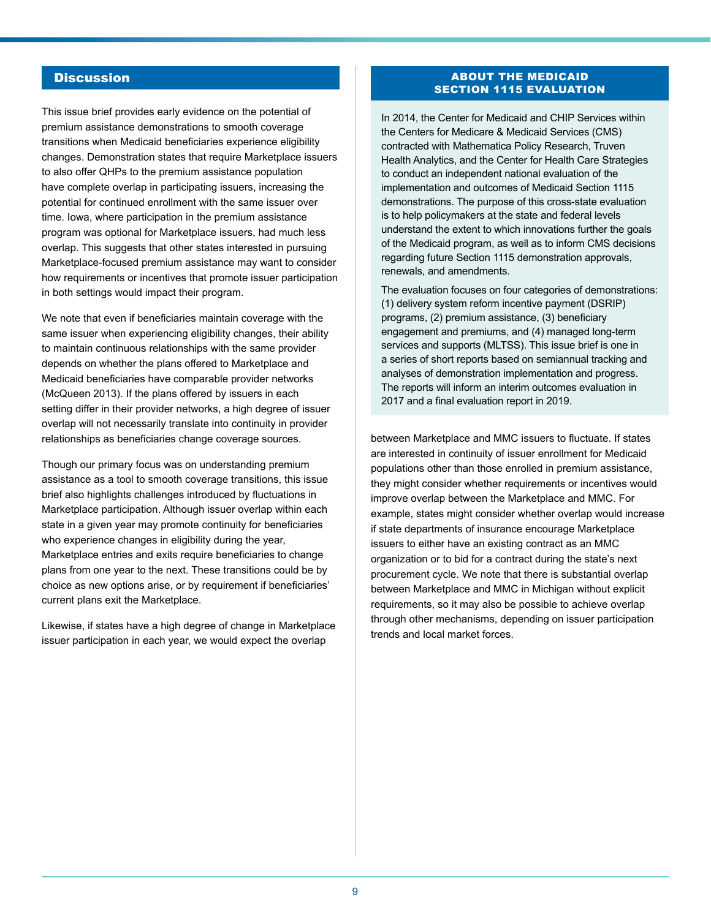## **Discussion**

This issue brief provides early evidence on the potential of premium assistance demonstrations to smooth coverage transitions when Medicaid beneficiaries experience eligibility changes. Demonstration states that require Marketplace issuers to also offer QHPs to the premium assistance population have complete overlap in participating issuers, increasing the potential for continued enrollment with the same issuer over time. Iowa, where participation in the premium assistance program was optional for Marketplace issuers, had much less overlap. This suggests that other states interested in pursuing Marketplace-focused premium assistance may want to consider how requirements or incentives that promote issuer participation in both settings would impact their program.

We note that even if beneficiaries maintain coverage with the same issuer when experiencing eligibility changes, their ability to maintain continuous relationships with the same provider depends on whether the plans offered to Marketplace and Medicaid beneficiaries have comparable provider networks (McQueen 2013). If the plans offered by issuers in each setting differ in their provider networks, a high degree of issuer overlap will not necessarily translate into continuity in provider relationships as beneficiaries change coverage sources.

Though our primary focus was on understanding premium assistance as a tool to smooth coverage transitions, this issue brief also highlights challenges introduced by fluctuations in Marketplace participation. Although issuer overlap within each state in a given year may promote continuity for beneficiaries who experience changes in eligibility during the year, Marketplace entries and exits require beneficiaries to change plans from one year to the next. These transitions could be by choice as new options arise, or by requirement if beneficiaries' current plans exit the Marketplace.

Likewise, if states have a high degree of change in Marketplace issuer participation in each year, we would expect the overlap

#### ABOUT THE MEDICAID SECTION 1115 EVALUATION

In 2014, the Center for Medicaid and CHIP Services within the Centers for Medicare & Medicaid Services (CMS) contracted with Mathematica Policy Research, Truven Health Analytics, and the Center for Health Care Strategies to conduct an independent national evaluation of the implementation and outcomes of Medicaid Section 1115 demonstrations. The purpose of this cross-state evaluation is to help policymakers at the state and federal levels understand the extent to which innovations further the goals of the Medicaid program, as well as to inform CMS decisions regarding future Section 1115 demonstration approvals, renewals, and amendments.

The evaluation focuses on four categories of demonstrations: (1) delivery system reform incentive payment (DSRIP) programs, (2) premium assistance, (3) beneficiary engagement and premiums, and (4) managed long-term services and supports (MLTSS). This issue brief is one in a series of short reports based on semiannual tracking and analyses of demonstration implementation and progress. The reports will inform an interim outcomes evaluation in 2017 and a final evaluation report in 2019.

between Marketplace and MMC issuers to fluctuate. If states are interested in continuity of issuer enrollment for Medicaid populations other than those enrolled in premium assistance, they might consider whether requirements or incentives would improve overlap between the Marketplace and MMC. For example, states might consider whether overlap would increase if state departments of insurance encourage Marketplace issuers to either have an existing contract as an MMC organization or to bid for a contract during the state's next procurement cycle. We note that there is substantial overlap between Marketplace and MMC in Michigan without explicit requirements, so it may also be possible to achieve overlap through other mechanisms, depending on issuer participation trends and local market forces.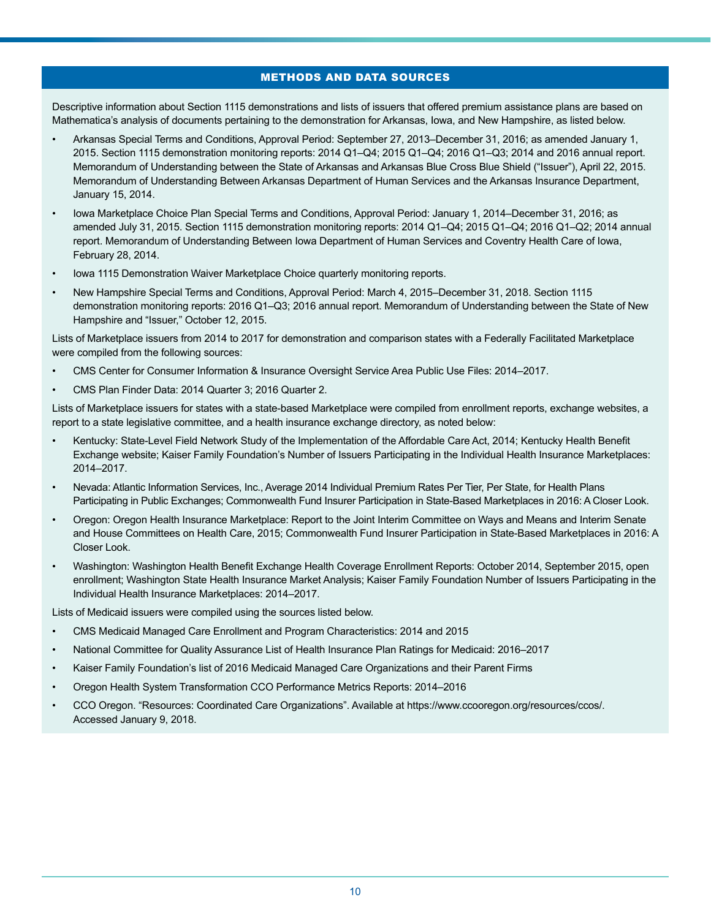## METHODS AND DATA SOURCES

Descriptive information about Section 1115 demonstrations and lists of issuers that offered premium assistance plans are based on Mathematica's analysis of documents pertaining to the demonstration for Arkansas, Iowa, and New Hampshire, as listed below.

- Arkansas Special Terms and Conditions, Approval Period: September 27, 2013–December 31, 2016; as amended January 1, 2015. Section 1115 demonstration monitoring reports: 2014 Q1–Q4; 2015 Q1–Q4; 2016 Q1–Q3; 2014 and 2016 annual report. Memorandum of Understanding between the State of Arkansas and Arkansas Blue Cross Blue Shield ("Issuer"), April 22, 2015. Memorandum of Understanding Between Arkansas Department of Human Services and the Arkansas Insurance Department, January 15, 2014.
- Iowa Marketplace Choice Plan Special Terms and Conditions, Approval Period: January 1, 2014–December 31, 2016; as amended July 31, 2015. Section 1115 demonstration monitoring reports: 2014 Q1–Q4; 2015 Q1–Q4; 2016 Q1–Q2; 2014 annual report. Memorandum of Understanding Between Iowa Department of Human Services and Coventry Health Care of Iowa, February 28, 2014.
- Iowa 1115 Demonstration Waiver Marketplace Choice quarterly monitoring reports.
- New Hampshire Special Terms and Conditions, Approval Period: March 4, 2015–December 31, 2018. Section 1115 demonstration monitoring reports: 2016 Q1–Q3; 2016 annual report. Memorandum of Understanding between the State of New Hampshire and "Issuer," October 12, 2015.

Lists of Marketplace issuers from 2014 to 2017 for demonstration and comparison states with a Federally Facilitated Marketplace were compiled from the following sources:

- CMS Center for Consumer Information & Insurance Oversight Service Area Public Use Files: 2014–2017.
- CMS Plan Finder Data: 2014 Quarter 3; 2016 Quarter 2.

Lists of Marketplace issuers for states with a state-based Marketplace were compiled from enrollment reports, exchange websites, a report to a state legislative committee, and a health insurance exchange directory, as noted below:

- Kentucky: State-Level Field Network Study of the Implementation of the Affordable Care Act, 2014; Kentucky Health Benefit Exchange website; Kaiser Family Foundation's Number of Issuers Participating in the Individual Health Insurance Marketplaces: 2014–2017.
- Nevada: Atlantic Information Services, Inc., Average 2014 Individual Premium Rates Per Tier, Per State, for Health Plans Participating in Public Exchanges; Commonwealth Fund Insurer Participation in State-Based Marketplaces in 2016: A Closer Look.
- Oregon: Oregon Health Insurance Marketplace: Report to the Joint Interim Committee on Ways and Means and Interim Senate and House Committees on Health Care, 2015; Commonwealth Fund Insurer Participation in State-Based Marketplaces in 2016: A Closer Look.
- Washington: Washington Health Benefit Exchange Health Coverage Enrollment Reports: October 2014, September 2015, open enrollment; Washington State Health Insurance Market Analysis; Kaiser Family Foundation Number of Issuers Participating in the Individual Health Insurance Marketplaces: 2014–2017.

Lists of Medicaid issuers were compiled using the sources listed below.

- CMS Medicaid Managed Care Enrollment and Program Characteristics: 2014 and 2015
- National Committee for Quality Assurance List of Health Insurance Plan Ratings for Medicaid: 2016–2017
- Kaiser Family Foundation's list of 2016 Medicaid Managed Care Organizations and their Parent Firms
- Oregon Health System Transformation CCO Performance Metrics Reports: 2014–2016
- CCO Oregon. "Resources: Coordinated Care Organizations". Available at [https://www.ccooregon.org/resources/ccos/.](https://www.ccooregon.org/resources/ccos/) Accessed January 9, 2018.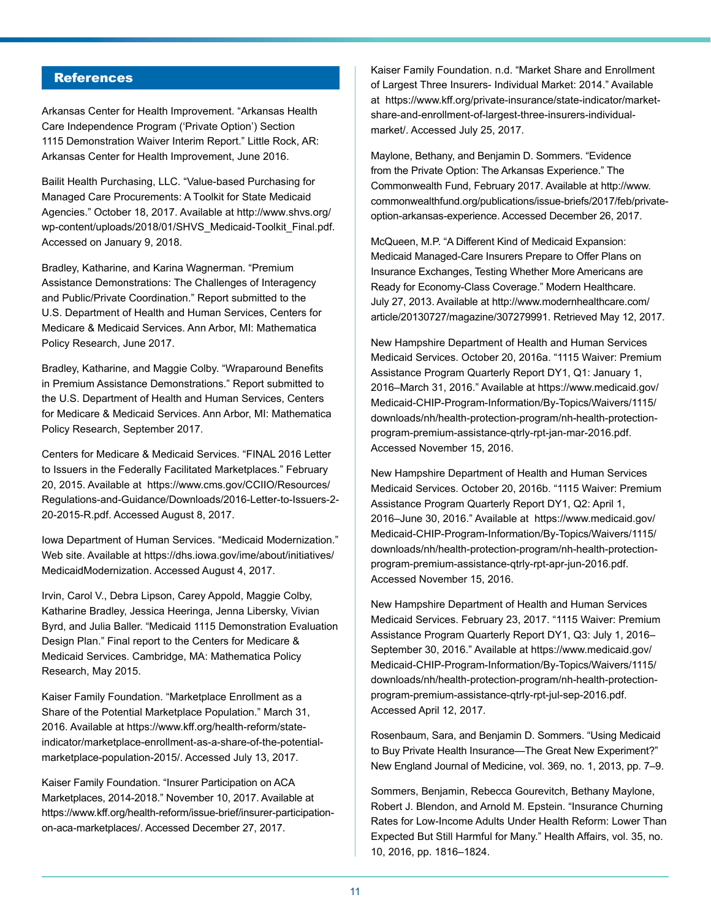# **References**

Arkansas Center for Health Improvement. "Arkansas Health Care Independence Program ('Private Option') Section 1115 Demonstration Waiver Interim Report." Little Rock, AR: Arkansas Center for Health Improvement, June 2016.

Bailit Health Purchasing, LLC. "Value-based Purchasing for Managed Care Procurements: A Toolkit for State Medicaid Agencies." October 18, 2017. Available at [http://www.](http://www.statenetwork.org/wp-content/uploads/2017/10/SHVS_Medicaid-Toolkit_Final.pdf)shvs.org/ wp-content/uploads/2018/01/SHVS\_Medicaid-Toolkit\_Final.pdf. [Accessed on Jan](http://www.statenetwork.org/wp-content/uploads/2017/10/SHVS_Medicaid-Toolkit_Final.pdf)uary 9, 2018.

Bradley, Katharine, and Karina Wagnerman. "Premium Assistance Demonstrations: The Challenges of Interagency and Public/Private Coordination." Report submitted to the U.S. Department of Health and Human Services, Centers for Medicare & Medicaid Services. Ann Arbor, MI: Mathematica Policy Research, June 2017.

Bradley, Katharine, and Maggie Colby. "Wraparound Benefits in Premium Assistance Demonstrations." Report submitted to the U.S. Department of Health and Human Services, Centers for Medicare & Medicaid Services. Ann Arbor, MI: Mathematica Policy Research, September 2017.

Centers for Medicare & Medicaid Services. "FINAL 2016 Letter to Issuers in the Federally Facilitated Marketplaces." February 20, 2015. Available at [https://www.cms.gov/CCIIO/Resources/](https://www.cms.gov/CCIIO/Resources/Regulations-and-Guidance/Downloads/2016-Letter-to-Issuers-2-20-2015-R.pdf) [Regulations-and-Guidance/Downloads/2016-Letter-to-Issuers-2-](https://www.cms.gov/CCIIO/Resources/Regulations-and-Guidance/Downloads/2016-Letter-to-Issuers-2-20-2015-R.pdf) [20-2015-R.pdf.](https://www.cms.gov/CCIIO/Resources/Regulations-and-Guidance/Downloads/2016-Letter-to-Issuers-2-20-2015-R.pdf) Accessed August 8, 2017.

Iowa Department of Human Services. "Medicaid Modernization." Web site. Available at [https://dhs.iowa.gov/ime/about/initiatives/](https://dhs.iowa.gov/ime/about/initiatives/MedicaidModernization) [MedicaidModernization](https://dhs.iowa.gov/ime/about/initiatives/MedicaidModernization). Accessed August 4, 2017.

Irvin, Carol V., Debra Lipson, Carey Appold, Maggie Colby, Katharine Bradley, Jessica Heeringa, Jenna Libersky, Vivian Byrd, and Julia Baller. "Medicaid 1115 Demonstration Evaluation Design Plan." Final report to the Centers for Medicare & Medicaid Services. Cambridge, MA: Mathematica Policy Research, May 2015.

Kaiser Family Foundation. "Marketplace Enrollment as a Share of the Potential Marketplace Population." March 31, 2016. Available at [https://www.kff.org/health-reform/state](https://www.kff.org/health-reform/state-indicator/marketplace-enrollment-as-a-share-of-the-potential-marketplace-population-2015/)[indicator/marketplace-enrollment-as-a-share-of-the-potential](https://www.kff.org/health-reform/state-indicator/marketplace-enrollment-as-a-share-of-the-potential-marketplace-population-2015/)[marketplace-population-2015/](https://www.kff.org/health-reform/state-indicator/marketplace-enrollment-as-a-share-of-the-potential-marketplace-population-2015/). Accessed July 13, 2017.

Kaiser Family Foundation. "Insurer Participation on ACA Marketplaces, 2014-2018." November 10, 2017. Available at [https://www.kff.org/health-reform/issue-brief/insurer-participation](https://www.kff.org/health-reform/issue-brief/insurer-participation-on-aca-marketplaces/)[on-aca-marketplaces/.](https://www.kff.org/health-reform/issue-brief/insurer-participation-on-aca-marketplaces/) Accessed December 27, 2017.

Kaiser Family Foundation. n.d. "Market Share and Enrollment of Largest Three Insurers- Individual Market: 2014." Available at https://www.kff.org/private-insurance/state-indicator/marketshare-and-enrollment-of-largest-three-insurers-individualmarket/. Accessed July 25, 2017.

Maylone, Bethany, and Benjamin D. Sommers. "Evidence from the Private Option: The Arkansas Experience." The Commonwealth Fund, February 2017. Available at [http://www.](http://www.commonwealthfund.org/publications/issue-briefs/2017/feb/private-option-arkansas-experience) [commonwealthfund.org/publications/issue-briefs/2017/feb/private](http://www.commonwealthfund.org/publications/issue-briefs/2017/feb/private-option-arkansas-experience)[option-arkansas-experience](http://www.commonwealthfund.org/publications/issue-briefs/2017/feb/private-option-arkansas-experience). Accessed December 26, 2017.

McQueen, M.P. "A Different Kind of Medicaid Expansion: Medicaid Managed-Care Insurers Prepare to Offer Plans on Insurance Exchanges, Testing Whether More Americans are Ready for Economy-Class Coverage." Modern Healthcare. July 27, 2013. Available at [http://www.modernhealthcare.com/](http://www.modernhealthcare.com/article/20130727/magazine/307279991) [article/20130727/magazine/307279991.](http://www.modernhealthcare.com/article/20130727/magazine/307279991) Retrieved May 12, 2017.

New Hampshire Department of Health and Human Services Medicaid Services. October 20, 2016a. "1115 Waiver: Premium Assistance Program Quarterly Report DY1, Q1: January 1, 2016–March 31, 2016." Available at https://www.medicaid.gov/ Medicaid-CHIP-Program-Information/By-Topics/Waivers/1115/ downloads/nh/health-protection-program/nh-health-protectionprogram-premium-assistance-qtrly-rpt-jan-mar-2016.pdf. Accessed November 15, 2016.

New Hampshire Department of Health and Human Services Medicaid Services. October 20, 2016b. "1115 Waiver: Premium Assistance Program Quarterly Report DY1, Q2: April 1, 2016–June 30, 2016." Available at [https://www.medicaid.gov/](https://www.medicaid.gov/Medicaid-CHIP-Program-Information/By-Topics/Waivers/1115/downloads/nh/health-protection-program/nh-health-protection-program-premium-assistance-qtrly-rpt-apr-jun-2016.pdf) [Medicaid-CHIP-Program-Information/By-Topics/Waivers/1115/](https://www.medicaid.gov/Medicaid-CHIP-Program-Information/By-Topics/Waivers/1115/downloads/nh/health-protection-program/nh-health-protection-program-premium-assistance-qtrly-rpt-apr-jun-2016.pdf) [downloads/nh/health-protection-program/nh-health-protection](https://www.medicaid.gov/Medicaid-CHIP-Program-Information/By-Topics/Waivers/1115/downloads/nh/health-protection-program/nh-health-protection-program-premium-assistance-qtrly-rpt-apr-jun-2016.pdf)[program-premium-assistance-qtrly-rpt-apr-jun-2016.pdf](https://www.medicaid.gov/Medicaid-CHIP-Program-Information/By-Topics/Waivers/1115/downloads/nh/health-protection-program/nh-health-protection-program-premium-assistance-qtrly-rpt-apr-jun-2016.pdf). Accessed November 15, 2016.

New Hampshire Department of Health and Human Services Medicaid Services. February 23, 2017. "1115 Waiver: Premium Assistance Program Quarterly Report DY1, Q3: July 1, 2016– September 30, 2016." Available at [https://www.medicaid.gov/](https://www.medicaid.gov/Medicaid-CHIP-Program-Information/By-Topics/Waivers/1115/downloads/nh/health-protection-program/nh-health-protection-program-premium-assistance-qtrly-rpt-jul-sep-2016.pdf) [Medicaid-CHIP-Program-Information/By-Topics/Waivers/1115/](https://www.medicaid.gov/Medicaid-CHIP-Program-Information/By-Topics/Waivers/1115/downloads/nh/health-protection-program/nh-health-protection-program-premium-assistance-qtrly-rpt-jul-sep-2016.pdf) [downloads/nh/health-protection-program/nh-health-protection](https://www.medicaid.gov/Medicaid-CHIP-Program-Information/By-Topics/Waivers/1115/downloads/nh/health-protection-program/nh-health-protection-program-premium-assistance-qtrly-rpt-jul-sep-2016.pdf)[program-premium-assistance-qtrly-rpt-jul-sep-2016.pdf](https://www.medicaid.gov/Medicaid-CHIP-Program-Information/By-Topics/Waivers/1115/downloads/nh/health-protection-program/nh-health-protection-program-premium-assistance-qtrly-rpt-jul-sep-2016.pdf). Accessed April 12, 2017.

Rosenbaum, Sara, and Benjamin D. Sommers. "Using Medicaid to Buy Private Health Insurance—The Great New Experiment?" New England Journal of Medicine, vol. 369, no. 1, 2013, pp. 7–9.

Sommers, Benjamin, Rebecca Gourevitch, Bethany Maylone, Robert J. Blendon, and Arnold M. Epstein. "Insurance Churning Rates for Low-Income Adults Under Health Reform: Lower Than Expected But Still Harmful for Many." Health Affairs, vol. 35, no. 10, 2016, pp. 1816–1824.